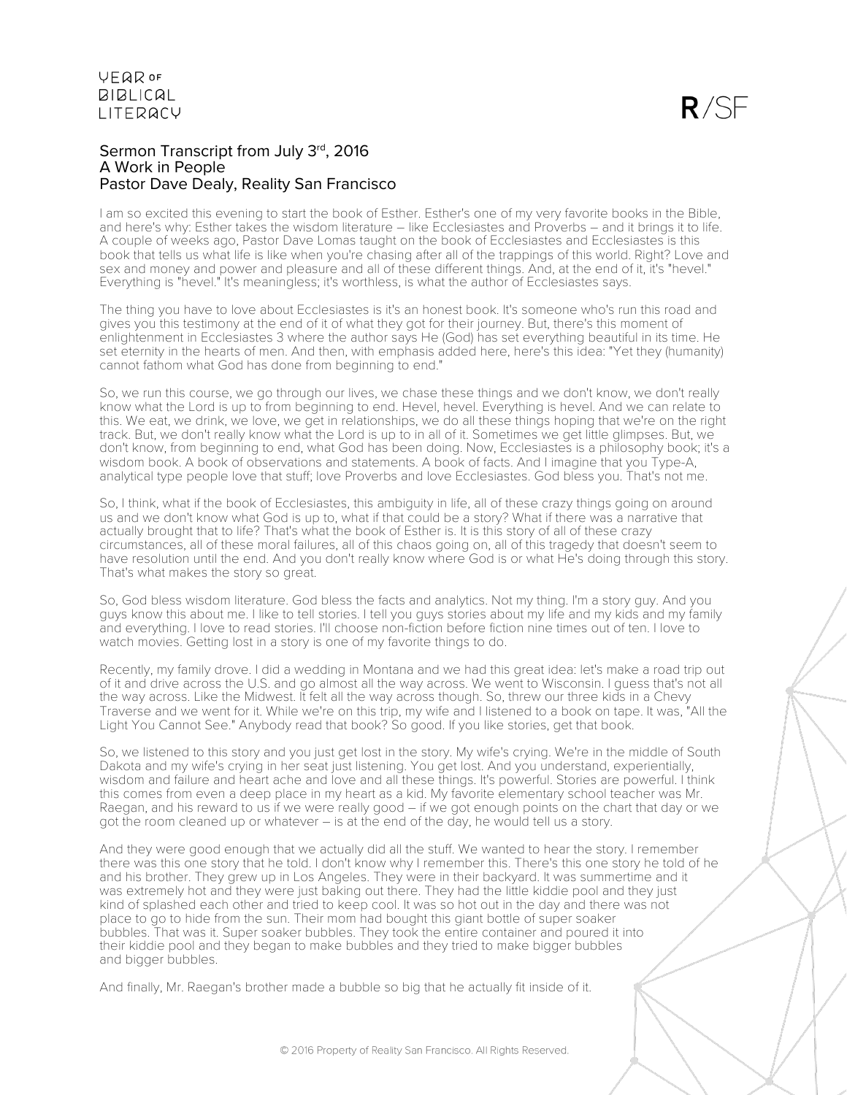### Sermon Transcript from July 3rd, 2016 A Work in People Pastor Dave Dealy, Reality San Francisco

I am so excited this evening to start the book of Esther. Esther's one of my very favorite books in the Bible, and here's why: Esther takes the wisdom literature – like Ecclesiastes and Proverbs – and it brings it to life. A couple of weeks ago, Pastor Dave Lomas taught on the book of Ecclesiastes and Ecclesiastes is this book that tells us what life is like when you're chasing after all of the trappings of this world. Right? Love and sex and money and power and pleasure and all of these different things. And, at the end of it, it's "hevel." Everything is "hevel." It's meaningless; it's worthless, is what the author of Ecclesiastes says.

The thing you have to love about Ecclesiastes is it's an honest book. It's someone who's run this road and gives you this testimony at the end of it of what they got for their journey. But, there's this moment of enlightenment in Ecclesiastes 3 where the author says He (God) has set everything beautiful in its time. He set eternity in the hearts of men. And then, with emphasis added here, here's this idea: "Yet they (humanity) cannot fathom what God has done from beginning to end."

So, we run this course, we go through our lives, we chase these things and we don't know, we don't really know what the Lord is up to from beginning to end. Hevel, hevel. Everything is hevel. And we can relate to this. We eat, we drink, we love, we get in relationships, we do all these things hoping that we're on the right track. But, we don't really know what the Lord is up to in all of it. Sometimes we get little glimpses. But, we don't know, from beginning to end, what God has been doing. Now, Ecclesiastes is a philosophy book; it's a wisdom book. A book of observations and statements. A book of facts. And I imagine that you Type-A, analytical type people love that stuff; love Proverbs and love Ecclesiastes. God bless you. That's not me.

So, I think, what if the book of Ecclesiastes, this ambiguity in life, all of these crazy things going on around us and we don't know what God is up to, what if that could be a story? What if there was a narrative that actually brought that to life? That's what the book of Esther is. It is this story of all of these crazy circumstances, all of these moral failures, all of this chaos going on, all of this tragedy that doesn't seem to have resolution until the end. And you don't really know where God is or what He's doing through this story. That's what makes the story so great.

So, God bless wisdom literature. God bless the facts and analytics. Not my thing. I'm a story guy. And you guys know this about me. I like to tell stories. I tell you guys stories about my life and my kids and my family and everything. I love to read stories. I'll choose non-fiction before fiction nine times out of ten. I love to watch movies. Getting lost in a story is one of my favorite things to do.

Recently, my family drove. I did a wedding in Montana and we had this great idea: let's make a road trip out of it and drive across the U.S. and go almost all the way across. We went to Wisconsin. I guess that's not all the way across. Like the Midwest. It felt all the way across though. So, threw our three kids in a Chevy Traverse and we went for it. While we're on this trip, my wife and I listened to a book on tape. It was, "All the Light You Cannot See." Anybody read that book? So good. If you like stories, get that book.

So, we listened to this story and you just get lost in the story. My wife's crying. We're in the middle of South Dakota and my wife's crying in her seat just listening. You get lost. And you understand, experientially, wisdom and failure and heart ache and love and all these things. It's powerful. Stories are powerful. I think this comes from even a deep place in my heart as a kid. My favorite elementary school teacher was Mr. Raegan, and his reward to us if we were really good – if we got enough points on the chart that day or we got the room cleaned up or whatever – is at the end of the day, he would tell us a story.

And they were good enough that we actually did all the stuff. We wanted to hear the story. I remember there was this one story that he told. I don't know why I remember this. There's this one story he told of he and his brother. They grew up in Los Angeles. They were in their backyard. It was summertime and it was extremely hot and they were just baking out there. They had the little kiddie pool and they just kind of splashed each other and tried to keep cool. It was so hot out in the day and there was not place to go to hide from the sun. Their mom had bought this giant bottle of super soaker bubbles. That was it. Super soaker bubbles. They took the entire container and poured it into their kiddie pool and they began to make bubbles and they tried to make bigger bubbles and bigger bubbles.

And finally, Mr. Raegan's brother made a bubble so big that he actually fit inside of it.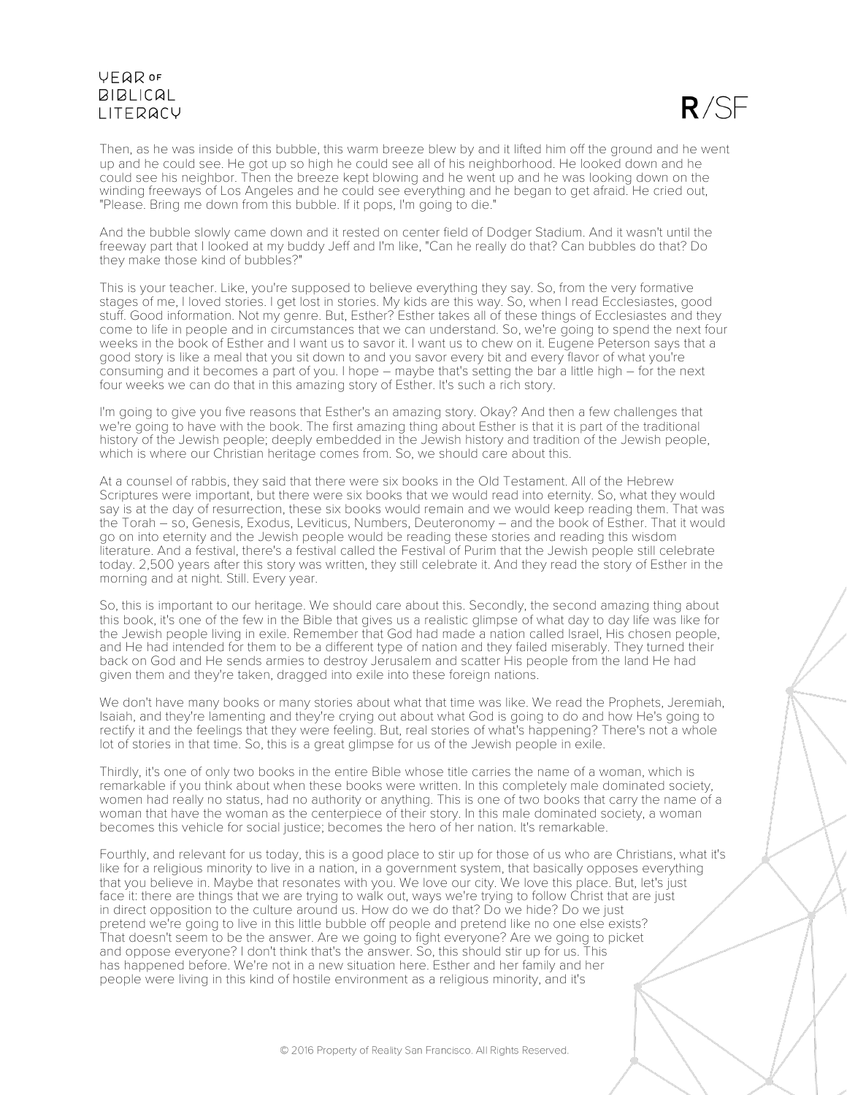

Then, as he was inside of this bubble, this warm breeze blew by and it lifted him off the ground and he went up and he could see. He got up so high he could see all of his neighborhood. He looked down and he could see his neighbor. Then the breeze kept blowing and he went up and he was looking down on the winding freeways of Los Angeles and he could see everything and he began to get afraid. He cried out, "Please. Bring me down from this bubble. If it pops, I'm going to die."

And the bubble slowly came down and it rested on center field of Dodger Stadium. And it wasn't until the freeway part that I looked at my buddy Jeff and I'm like, "Can he really do that? Can bubbles do that? Do they make those kind of bubbles?"

This is your teacher. Like, you're supposed to believe everything they say. So, from the very formative stages of me, I loved stories. I get lost in stories. My kids are this way. So, when I read Ecclesiastes, good stuff. Good information. Not my genre. But, Esther? Esther takes all of these things of Ecclesiastes and they come to life in people and in circumstances that we can understand. So, we're going to spend the next four weeks in the book of Esther and I want us to savor it. I want us to chew on it. Eugene Peterson says that a good story is like a meal that you sit down to and you savor every bit and every flavor of what you're consuming and it becomes a part of you. I hope – maybe that's setting the bar a little high – for the next four weeks we can do that in this amazing story of Esther. It's such a rich story.

I'm going to give you five reasons that Esther's an amazing story. Okay? And then a few challenges that we're going to have with the book. The first amazing thing about Esther is that it is part of the traditional history of the Jewish people; deeply embedded in the Jewish history and tradition of the Jewish people, which is where our Christian heritage comes from. So, we should care about this.

At a counsel of rabbis, they said that there were six books in the Old Testament. All of the Hebrew Scriptures were important, but there were six books that we would read into eternity. So, what they would say is at the day of resurrection, these six books would remain and we would keep reading them. That was the Torah – so, Genesis, Exodus, Leviticus, Numbers, Deuteronomy – and the book of Esther. That it would go on into eternity and the Jewish people would be reading these stories and reading this wisdom literature. And a festival, there's a festival called the Festival of Purim that the Jewish people still celebrate today. 2,500 years after this story was written, they still celebrate it. And they read the story of Esther in the morning and at night. Still. Every year.

So, this is important to our heritage. We should care about this. Secondly, the second amazing thing about this book, it's one of the few in the Bible that gives us a realistic glimpse of what day to day life was like for the Jewish people living in exile. Remember that God had made a nation called Israel, His chosen people, and He had intended for them to be a different type of nation and they failed miserably. They turned their back on God and He sends armies to destroy Jerusalem and scatter His people from the land He had given them and they're taken, dragged into exile into these foreign nations.

We don't have many books or many stories about what that time was like. We read the Prophets, Jeremiah, Isaiah, and they're lamenting and they're crying out about what God is going to do and how He's going to rectify it and the feelings that they were feeling. But, real stories of what's happening? There's not a whole lot of stories in that time. So, this is a great glimpse for us of the Jewish people in exile.

Thirdly, it's one of only two books in the entire Bible whose title carries the name of a woman, which is remarkable if you think about when these books were written. In this completely male dominated society, women had really no status, had no authority or anything. This is one of two books that carry the name of a woman that have the woman as the centerpiece of their story. In this male dominated society, a woman becomes this vehicle for social justice; becomes the hero of her nation. It's remarkable.

Fourthly, and relevant for us today, this is a good place to stir up for those of us who are Christians, what it's like for a religious minority to live in a nation, in a government system, that basically opposes everything that you believe in. Maybe that resonates with you. We love our city. We love this place. But, let's just face it: there are things that we are trying to walk out, ways we're trying to follow Christ that are just in direct opposition to the culture around us. How do we do that? Do we hide? Do we just pretend we're going to live in this little bubble off people and pretend like no one else exists? That doesn't seem to be the answer. Are we going to fight everyone? Are we going to picket and oppose everyone? I don't think that's the answer. So, this should stir up for us. This has happened before. We're not in a new situation here. Esther and her family and her people were living in this kind of hostile environment as a religious minority, and it's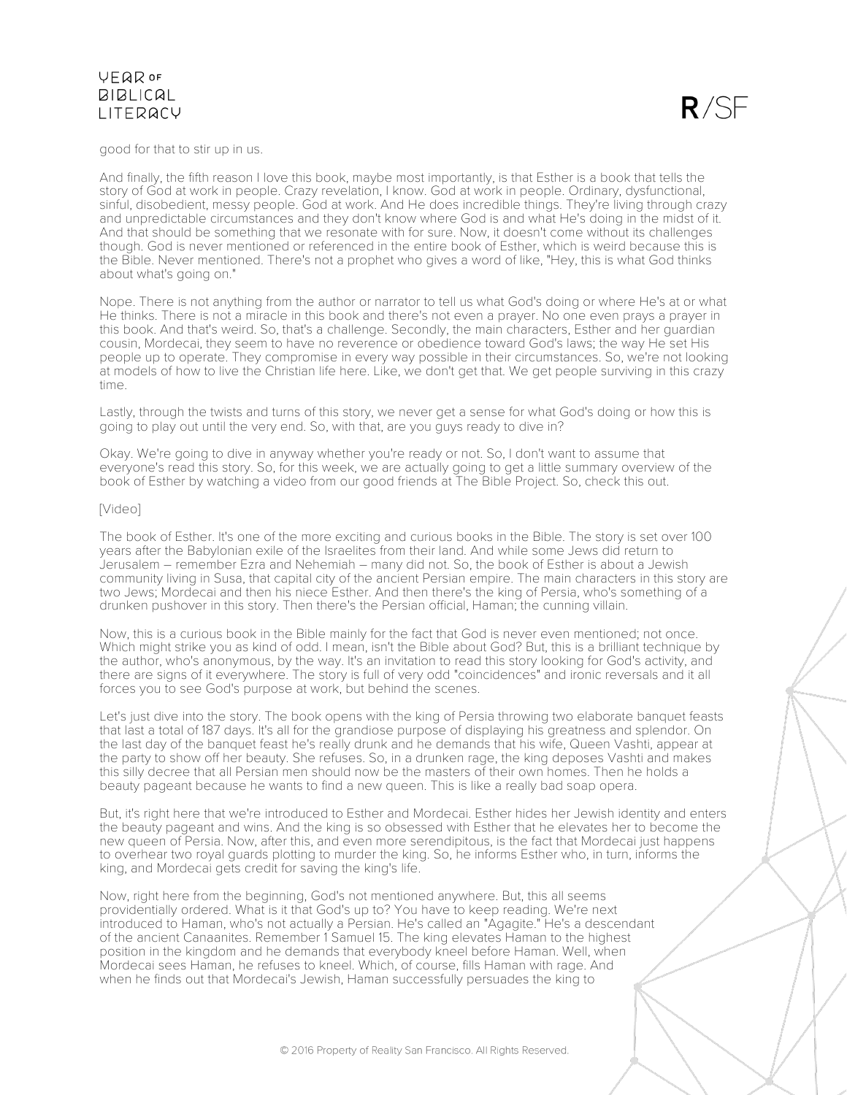

good for that to stir up in us.

And finally, the fifth reason I love this book, maybe most importantly, is that Esther is a book that tells the story of God at work in people. Crazy revelation, I know. God at work in people. Ordinary, dysfunctional, sinful, disobedient, messy people. God at work. And He does incredible things. They're living through crazy and unpredictable circumstances and they don't know where God is and what He's doing in the midst of it. And that should be something that we resonate with for sure. Now, it doesn't come without its challenges though. God is never mentioned or referenced in the entire book of Esther, which is weird because this is the Bible. Never mentioned. There's not a prophet who gives a word of like, "Hey, this is what God thinks about what's going on."

Nope. There is not anything from the author or narrator to tell us what God's doing or where He's at or what He thinks. There is not a miracle in this book and there's not even a prayer. No one even prays a prayer in this book. And that's weird. So, that's a challenge. Secondly, the main characters, Esther and her guardian cousin, Mordecai, they seem to have no reverence or obedience toward God's laws; the way He set His people up to operate. They compromise in every way possible in their circumstances. So, we're not looking at models of how to live the Christian life here. Like, we don't get that. We get people surviving in this crazy time.

Lastly, through the twists and turns of this story, we never get a sense for what God's doing or how this is going to play out until the very end. So, with that, are you guys ready to dive in?

Okay. We're going to dive in anyway whether you're ready or not. So, I don't want to assume that everyone's read this story. So, for this week, we are actually going to get a little summary overview of the book of Esther by watching a video from our good friends at The Bible Project. So, check this out.

### [Video]

The book of Esther. It's one of the more exciting and curious books in the Bible. The story is set over 100 years after the Babylonian exile of the Israelites from their land. And while some Jews did return to Jerusalem – remember Ezra and Nehemiah – many did not. So, the book of Esther is about a Jewish community living in Susa, that capital city of the ancient Persian empire. The main characters in this story are two Jews; Mordecai and then his niece Esther. And then there's the king of Persia, who's something of a drunken pushover in this story. Then there's the Persian official, Haman; the cunning villain.

Now, this is a curious book in the Bible mainly for the fact that God is never even mentioned; not once. Which might strike you as kind of odd. I mean, isn't the Bible about God? But, this is a brilliant technique by the author, who's anonymous, by the way. It's an invitation to read this story looking for God's activity, and there are signs of it everywhere. The story is full of very odd "coincidences" and ironic reversals and it all forces you to see God's purpose at work, but behind the scenes.

Let's just dive into the story. The book opens with the king of Persia throwing two elaborate banquet feasts that last a total of 187 days. It's all for the grandiose purpose of displaying his greatness and splendor. On the last day of the banquet feast he's really drunk and he demands that his wife, Queen Vashti, appear at the party to show off her beauty. She refuses. So, in a drunken rage, the king deposes Vashti and makes this silly decree that all Persian men should now be the masters of their own homes. Then he holds a beauty pageant because he wants to find a new queen. This is like a really bad soap opera.

But, it's right here that we're introduced to Esther and Mordecai. Esther hides her Jewish identity and enters the beauty pageant and wins. And the king is so obsessed with Esther that he elevates her to become the new queen of Persia. Now, after this, and even more serendipitous, is the fact that Mordecai just happens to overhear two royal guards plotting to murder the king. So, he informs Esther who, in turn, informs the king, and Mordecai gets credit for saving the king's life.

Now, right here from the beginning, God's not mentioned anywhere. But, this all seems providentially ordered. What is it that God's up to? You have to keep reading. We're next introduced to Haman, who's not actually a Persian. He's called an "Agagite." He's a descendant of the ancient Canaanites. Remember 1 Samuel 15. The king elevates Haman to the highest position in the kingdom and he demands that everybody kneel before Haman. Well, when Mordecai sees Haman, he refuses to kneel. Which, of course, fills Haman with rage. And when he finds out that Mordecai's Jewish, Haman successfully persuades the king to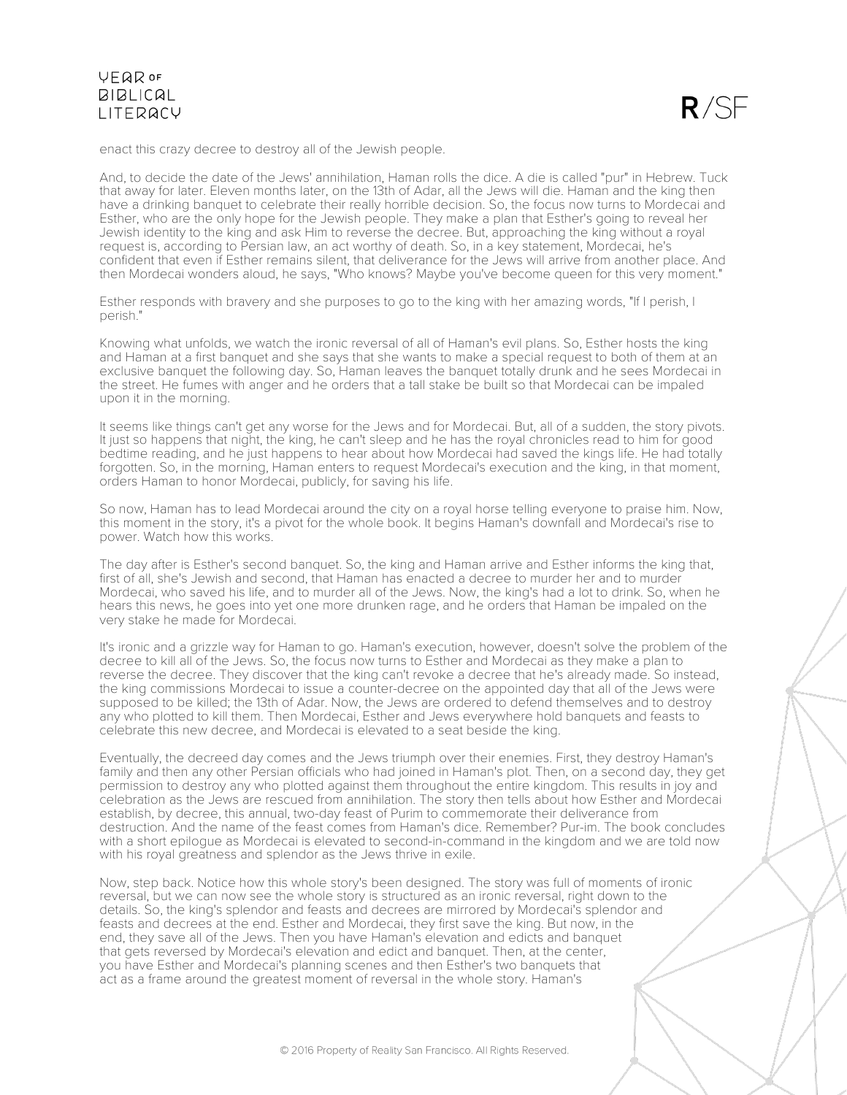

enact this crazy decree to destroy all of the Jewish people.

And, to decide the date of the Jews' annihilation, Haman rolls the dice. A die is called "pur" in Hebrew. Tuck that away for later. Eleven months later, on the 13th of Adar, all the Jews will die. Haman and the king then have a drinking banquet to celebrate their really horrible decision. So, the focus now turns to Mordecai and Esther, who are the only hope for the Jewish people. They make a plan that Esther's going to reveal her Jewish identity to the king and ask Him to reverse the decree. But, approaching the king without a royal request is, according to Persian law, an act worthy of death. So, in a key statement, Mordecai, he's confident that even if Esther remains silent, that deliverance for the Jews will arrive from another place. And then Mordecai wonders aloud, he says, "Who knows? Maybe you've become queen for this very moment."

Esther responds with bravery and she purposes to go to the king with her amazing words, "If I perish, I perish."

Knowing what unfolds, we watch the ironic reversal of all of Haman's evil plans. So, Esther hosts the king and Haman at a first banquet and she says that she wants to make a special request to both of them at an exclusive banquet the following day. So, Haman leaves the banquet totally drunk and he sees Mordecai in the street. He fumes with anger and he orders that a tall stake be built so that Mordecai can be impaled upon it in the morning.

It seems like things can't get any worse for the Jews and for Mordecai. But, all of a sudden, the story pivots. It just so happens that night, the king, he can't sleep and he has the royal chronicles read to him for good bedtime reading, and he just happens to hear about how Mordecai had saved the kings life. He had totally forgotten. So, in the morning, Haman enters to request Mordecai's execution and the king, in that moment, orders Haman to honor Mordecai, publicly, for saving his life.

So now, Haman has to lead Mordecai around the city on a royal horse telling everyone to praise him. Now, this moment in the story, it's a pivot for the whole book. It begins Haman's downfall and Mordecai's rise to power. Watch how this works.

The day after is Esther's second banquet. So, the king and Haman arrive and Esther informs the king that, first of all, she's Jewish and second, that Haman has enacted a decree to murder her and to murder Mordecai, who saved his life, and to murder all of the Jews. Now, the king's had a lot to drink. So, when he hears this news, he goes into yet one more drunken rage, and he orders that Haman be impaled on the very stake he made for Mordecai.

It's ironic and a grizzle way for Haman to go. Haman's execution, however, doesn't solve the problem of the decree to kill all of the Jews. So, the focus now turns to Esther and Mordecai as they make a plan to reverse the decree. They discover that the king can't revoke a decree that he's already made. So instead, the king commissions Mordecai to issue a counter-decree on the appointed day that all of the Jews were supposed to be killed; the 13th of Adar. Now, the Jews are ordered to defend themselves and to destroy any who plotted to kill them. Then Mordecai, Esther and Jews everywhere hold banquets and feasts to celebrate this new decree, and Mordecai is elevated to a seat beside the king.

Eventually, the decreed day comes and the Jews triumph over their enemies. First, they destroy Haman's family and then any other Persian officials who had joined in Haman's plot. Then, on a second day, they get permission to destroy any who plotted against them throughout the entire kingdom. This results in joy and celebration as the Jews are rescued from annihilation. The story then tells about how Esther and Mordecai establish, by decree, this annual, two-day feast of Purim to commemorate their deliverance from destruction. And the name of the feast comes from Haman's dice. Remember? Pur-im. The book concludes with a short epilogue as Mordecai is elevated to second-in-command in the kingdom and we are told now with his royal greatness and splendor as the Jews thrive in exile.

Now, step back. Notice how this whole story's been designed. The story was full of moments of ironic reversal, but we can now see the whole story is structured as an ironic reversal, right down to the details. So, the king's splendor and feasts and decrees are mirrored by Mordecai's splendor and feasts and decrees at the end. Esther and Mordecai, they first save the king. But now, in the end, they save all of the Jews. Then you have Haman's elevation and edicts and banquet that gets reversed by Mordecai's elevation and edict and banquet. Then, at the center, you have Esther and Mordecai's planning scenes and then Esther's two banquets that act as a frame around the greatest moment of reversal in the whole story. Haman's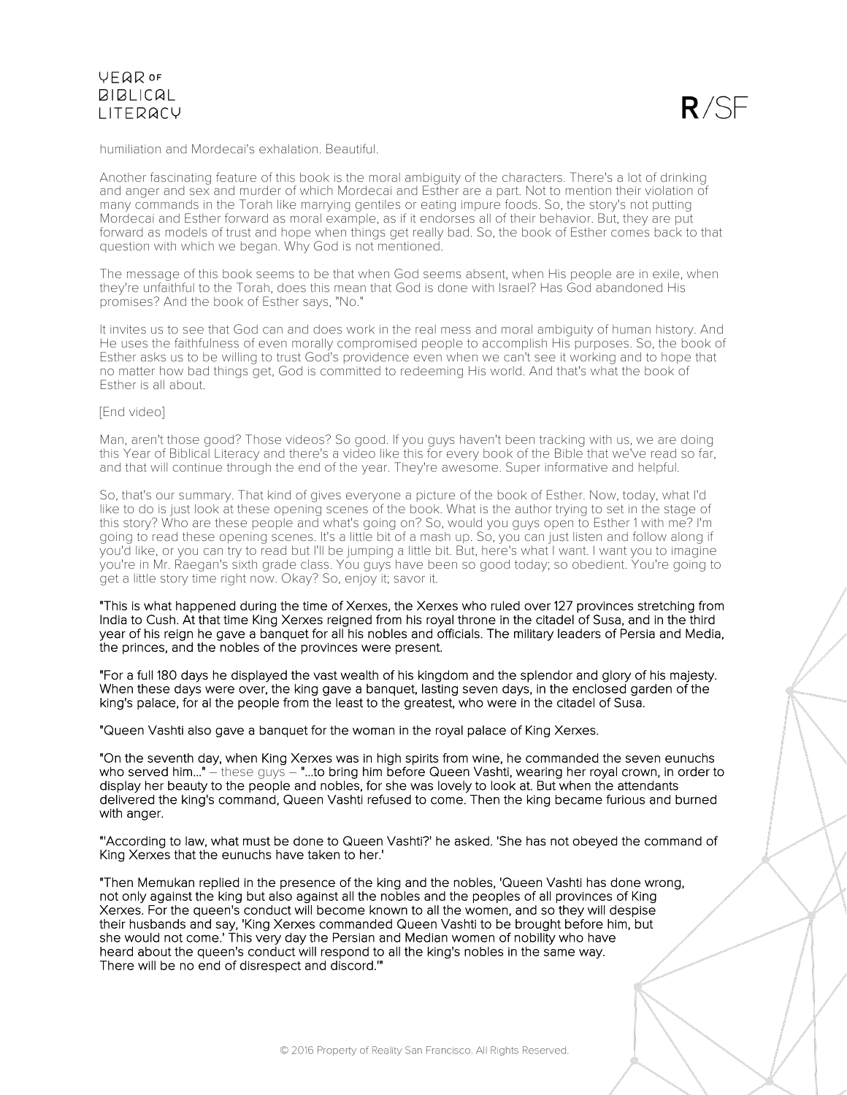

humiliation and Mordecai's exhalation. Beautiful.

Another fascinating feature of this book is the moral ambiguity of the characters. There's a lot of drinking and anger and sex and murder of which Mordecai and Esther are a part. Not to mention their violation of many commands in the Torah like marrying gentiles or eating impure foods. So, the story's not putting Mordecai and Esther forward as moral example, as if it endorses all of their behavior. But, they are put forward as models of trust and hope when things get really bad. So, the book of Esther comes back to that question with which we began. Why God is not mentioned.

The message of this book seems to be that when God seems absent, when His people are in exile, when they're unfaithful to the Torah, does this mean that God is done with Israel? Has God abandoned His promises? And the book of Esther says, "No."

It invites us to see that God can and does work in the real mess and moral ambiguity of human history. And He uses the faithfulness of even morally compromised people to accomplish His purposes. So, the book of Esther asks us to be willing to trust God's providence even when we can't see it working and to hope that no matter how bad things get, God is committed to redeeming His world. And that's what the book of Esther is all about.

[End video]

Man, aren't those good? Those videos? So good. If you guys haven't been tracking with us, we are doing this Year of Biblical Literacy and there's a video like this for every book of the Bible that we've read so far, and that will continue through the end of the year. They're awesome. Super informative and helpful.

So, that's our summary. That kind of gives everyone a picture of the book of Esther. Now, today, what I'd like to do is just look at these opening scenes of the book. What is the author trying to set in the stage of this story? Who are these people and what's going on? So, would you guys open to Esther 1 with me? I'm going to read these opening scenes. It's a little bit of a mash up. So, you can just listen and follow along if you'd like, or you can try to read but I'll be jumping a little bit. But, here's what I want. I want you to imagine you're in Mr. Raegan's sixth grade class. You guys have been so good today; so obedient. You're going to get a little story time right now. Okay? So, enjoy it; savor it.

"This is what happened during the time of Xerxes, the Xerxes who ruled over 127 provinces stretching from India to Cush. At that time King Xerxes reigned from his royal throne in the citadel of Susa, and in the third year of his reign he gave a banquet for all his nobles and officials. The military leaders of Persia and Media, the princes, and the nobles of the provinces were present.

"For a full 180 days he displayed the vast wealth of his kingdom and the splendor and glory of his majesty. When these days were over, the king gave a banquet, lasting seven days, in the enclosed garden of the king's palace, for al the people from the least to the greatest, who were in the citadel of Susa.

"Queen Vashti also gave a banquet for the woman in the royal palace of King Xerxes.

"On the seventh day, when King Xerxes was in high spirits from wine, he commanded the seven eunuchs who served him..." – these guys – "...to bring him before Queen Vashti, wearing her royal crown, in order to display her beauty to the people and nobles, for she was lovely to look at. But when the attendants delivered the king's command, Queen Vashti refused to come. Then the king became furious and burned with anger.

"'According to law, what must be done to Queen Vashti?' he asked. 'She has not obeyed the command of King Xerxes that the eunuchs have taken to her.'

"Then Memukan replied in the presence of the king and the nobles, 'Queen Vashti has done wrong, not only against the king but also against all the nobles and the peoples of all provinces of King Xerxes. For the queen's conduct will become known to all the women, and so they will despise their husbands and say, 'King Xerxes commanded Queen Vashti to be brought before him, but she would not come.' This very day the Persian and Median women of nobility who have heard about the queen's conduct will respond to all the king's nobles in the same way. There will be no end of disrespect and discord.'"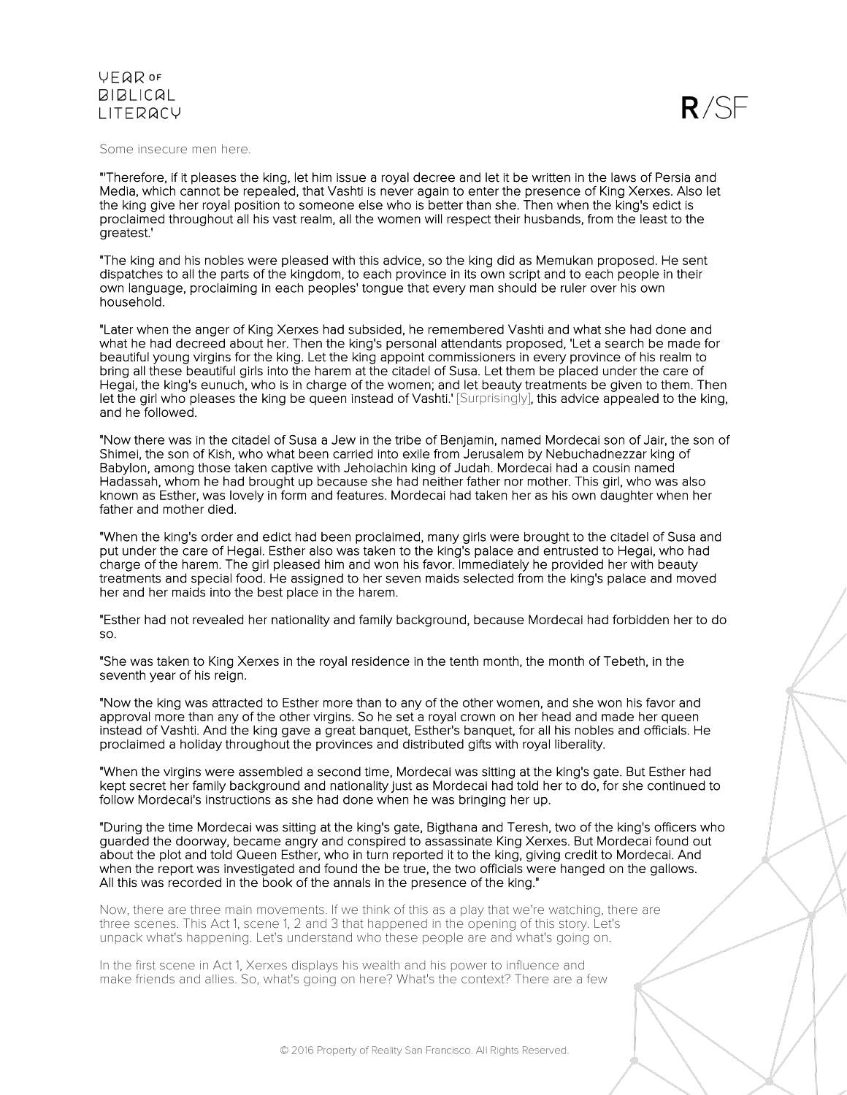

#### Some insecure men here.

"'Therefore, if it pleases the king, let him issue a royal decree and let it be written in the laws of Persia and Media, which cannot be repealed, that Vashti is never again to enter the presence of King Xerxes. Also let the king give her royal position to someone else who is better than she. Then when the king's edict is proclaimed throughout all his vast realm, all the women will respect their husbands, from the least to the greatest.'

"The king and his nobles were pleased with this advice, so the king did as Memukan proposed. He sent dispatches to all the parts of the kingdom, to each province in its own script and to each people in their own language, proclaiming in each peoples' tongue that every man should be ruler over his own household.

"Later when the anger of King Xerxes had subsided, he remembered Vashti and what she had done and what he had decreed about her. Then the king's personal attendants proposed, 'Let a search be made for beautiful young virgins for the king. Let the king appoint commissioners in every province of his realm to bring all these beautiful girls into the harem at the citadel of Susa. Let them be placed under the care of Hegai, the king's eunuch, who is in charge of the women; and let beauty treatments be given to them. Then let the girl who pleases the king be queen instead of Vashti.' [Surprisingly], this advice appealed to the king, and he followed.

"Now there was in the citadel of Susa a Jew in the tribe of Benjamin, named Mordecai son of Jair, the son of Shimei, the son of Kish, who what been carried into exile from Jerusalem by Nebuchadnezzar king of Babylon, among those taken captive with Jehoiachin king of Judah. Mordecai had a cousin named Hadassah, whom he had brought up because she had neither father nor mother. This girl, who was also known as Esther, was lovely in form and features. Mordecai had taken her as his own daughter when her father and mother died.

"When the king's order and edict had been proclaimed, many girls were brought to the citadel of Susa and put under the care of Hegai. Esther also was taken to the king's palace and entrusted to Hegai, who had charge of the harem. The girl pleased him and won his favor. Immediately he provided her with beauty treatments and special food. He assigned to her seven maids selected from the king's palace and moved her and her maids into the best place in the harem.

"Esther had not revealed her nationality and family background, because Mordecai had forbidden her to do so.

"She was taken to King Xerxes in the royal residence in the tenth month, the month of Tebeth, in the seventh year of his reign.

"Now the king was attracted to Esther more than to any of the other women, and she won his favor and approval more than any of the other virgins. So he set a royal crown on her head and made her queen instead of Vashti. And the king gave a great banquet, Esther's banquet, for all his nobles and officials. He proclaimed a holiday throughout the provinces and distributed gifts with royal liberality.

"When the virgins were assembled a second time, Mordecai was sitting at the king's gate. But Esther had kept secret her family background and nationality just as Mordecai had told her to do, for she continued to follow Mordecai's instructions as she had done when he was bringing her up.

"During the time Mordecai was sitting at the king's gate, Bigthana and Teresh, two of the king's officers who guarded the doorway, became angry and conspired to assassinate King Xerxes. But Mordecai found out about the plot and told Queen Esther, who in turn reported it to the king, giving credit to Mordecai. And when the report was investigated and found the be true, the two officials were hanged on the gallows. All this was recorded in the book of the annals in the presence of the king."

Now, there are three main movements. If we think of this as a play that we're watching, there are three scenes. This Act 1, scene  $1, 2$  and 3 that happened in the opening of this story. Let's unpack what's happening. Let's understand who these people are and what's going on.

In the first scene in Act 1, Xerxes displays his wealth and his power to influence and make friends and allies. So, what's going on here? What's the context? There are a few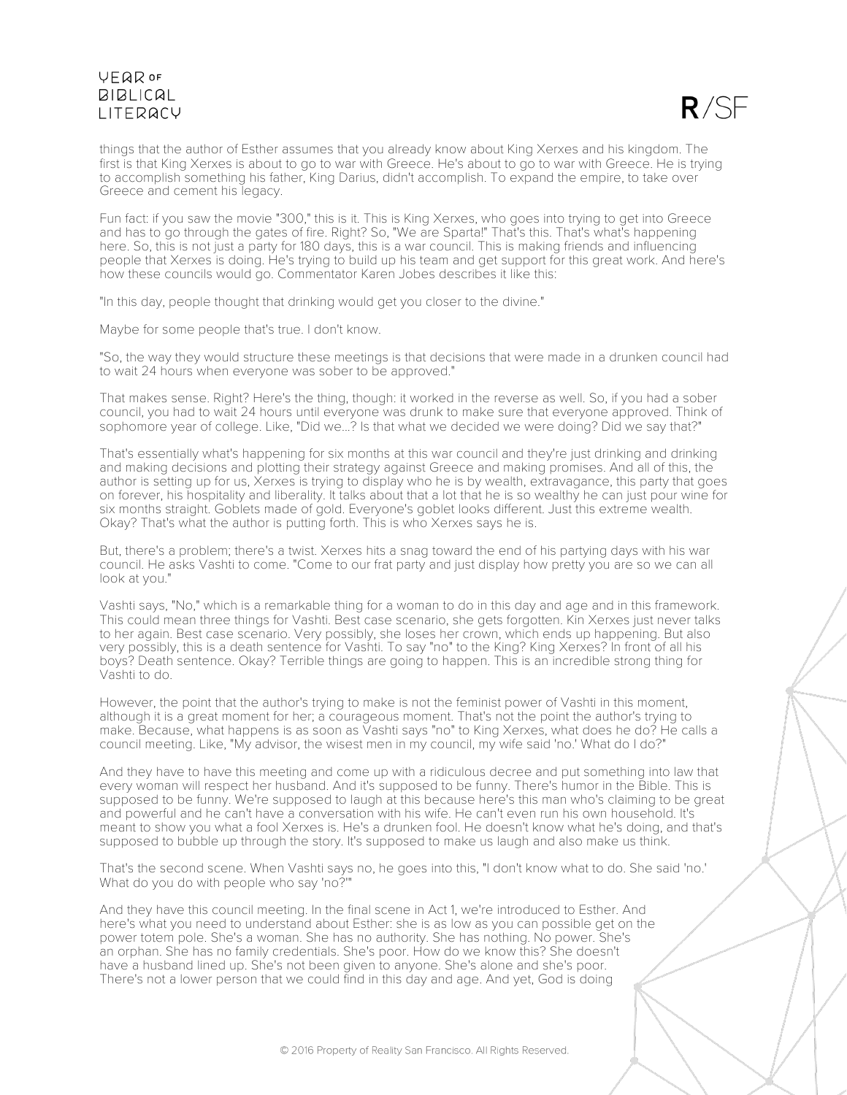

things that the author of Esther assumes that you already know about King Xerxes and his kingdom. The first is that King Xerxes is about to go to war with Greece. He's about to go to war with Greece. He is trying to accomplish something his father, King Darius, didn't accomplish. To expand the empire, to take over Greece and cement his legacy.

Fun fact: if you saw the movie "300," this is it. This is King Xerxes, who goes into trying to get into Greece and has to go through the gates of fire. Right? So, "We are Sparta!" That's this. That's what's happening here. So, this is not just a party for 180 days, this is a war council. This is making friends and influencing people that Xerxes is doing. He's trying to build up his team and get support for this great work. And here's how these councils would go. Commentator Karen Jobes describes it like this:

"In this day, people thought that drinking would get you closer to the divine."

Maybe for some people that's true. I don't know.

"So, the way they would structure these meetings is that decisions that were made in a drunken council had to wait 24 hours when everyone was sober to be approved."

That makes sense. Right? Here's the thing, though: it worked in the reverse as well. So, if you had a sober council, you had to wait 24 hours until everyone was drunk to make sure that everyone approved. Think of sophomore year of college. Like, "Did we...? Is that what we decided we were doing? Did we say that?"

That's essentially what's happening for six months at this war council and they're just drinking and drinking and making decisions and plotting their strategy against Greece and making promises. And all of this, the author is setting up for us, Xerxes is trying to display who he is by wealth, extravagance, this party that goes on forever, his hospitality and liberality. It talks about that a lot that he is so wealthy he can just pour wine for six months straight. Goblets made of gold. Everyone's goblet looks different. Just this extreme wealth. Okay? That's what the author is putting forth. This is who Xerxes says he is.

But, there's a problem; there's a twist. Xerxes hits a snag toward the end of his partying days with his war council. He asks Vashti to come. "Come to our frat party and just display how pretty you are so we can all look at you."

Vashti says, "No," which is a remarkable thing for a woman to do in this day and age and in this framework. This could mean three things for Vashti. Best case scenario, she gets forgotten. Kin Xerxes just never talks to her again. Best case scenario. Very possibly, she loses her crown, which ends up happening. But also very possibly, this is a death sentence for Vashti. To say "no" to the King? King Xerxes? In front of all his boys? Death sentence. Okay? Terrible things are going to happen. This is an incredible strong thing for Vashti to do.

However, the point that the author's trying to make is not the feminist power of Vashti in this moment, although it is a great moment for her; a courageous moment. That's not the point the author's trying to make. Because, what happens is as soon as Vashti says "no" to King Xerxes, what does he do? He calls a council meeting. Like, "My advisor, the wisest men in my council, my wife said 'no.' What do I do?"

And they have to have this meeting and come up with a ridiculous decree and put something into law that every woman will respect her husband. And it's supposed to be funny. There's humor in the Bible. This is supposed to be funny. We're supposed to laugh at this because here's this man who's claiming to be great and powerful and he can't have a conversation with his wife. He can't even run his own household. It's meant to show you what a fool Xerxes is. He's a drunken fool. He doesn't know what he's doing, and that's supposed to bubble up through the story. It's supposed to make us laugh and also make us think.

That's the second scene. When Vashti says no, he goes into this, "I don't know what to do. She said 'no.' What do you do with people who say 'no?'"

And they have this council meeting. In the final scene in Act 1, we're introduced to Esther. And here's what you need to understand about Esther: she is as low as you can possible get on the power totem pole. She's a woman. She has no authority. She has nothing. No power. She's an orphan. She has no family credentials. She's poor. How do we know this? She doesn't have a husband lined up. She's not been given to anyone. She's alone and she's poor. There's not a lower person that we could find in this day and age. And yet, God is doing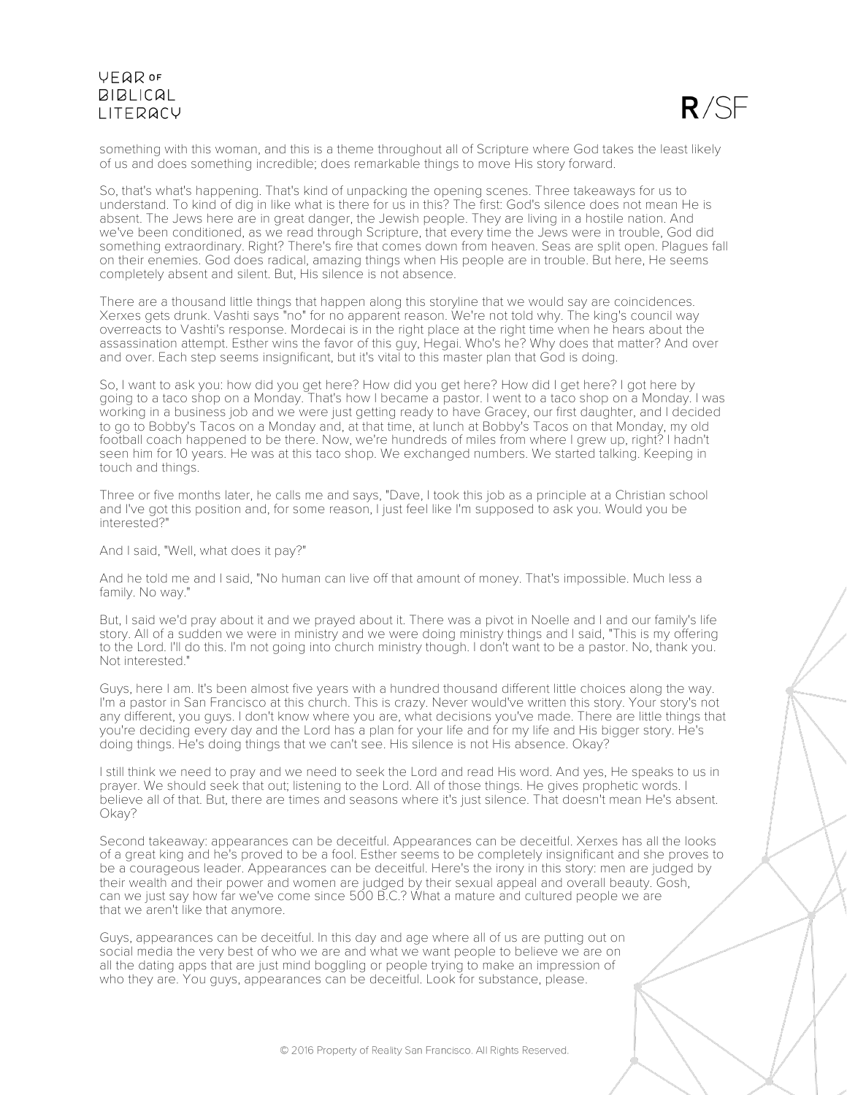

something with this woman, and this is a theme throughout all of Scripture where God takes the least likely of us and does something incredible; does remarkable things to move His story forward.

So, that's what's happening. That's kind of unpacking the opening scenes. Three takeaways for us to understand. To kind of dig in like what is there for us in this? The first: God's silence does not mean He is absent. The Jews here are in great danger, the Jewish people. They are living in a hostile nation. And we've been conditioned, as we read through Scripture, that every time the Jews were in trouble, God did something extraordinary. Right? There's fire that comes down from heaven. Seas are split open. Plagues fall on their enemies. God does radical, amazing things when His people are in trouble. But here, He seems completely absent and silent. But, His silence is not absence.

There are a thousand little things that happen along this storyline that we would say are coincidences. Xerxes gets drunk. Vashti says "no" for no apparent reason. We're not told why. The king's council way overreacts to Vashti's response. Mordecai is in the right place at the right time when he hears about the assassination attempt. Esther wins the favor of this guy, Hegai. Who's he? Why does that matter? And over and over. Each step seems insignificant, but it's vital to this master plan that God is doing.

So, I want to ask you: how did you get here? How did you get here? How did I get here? I got here by going to a taco shop on a Monday. That's how I became a pastor. I went to a taco shop on a Monday. I was working in a business job and we were just getting ready to have Gracey, our first daughter, and I decided to go to Bobby's Tacos on a Monday and, at that time, at lunch at Bobby's Tacos on that Monday, my old football coach happened to be there. Now, we're hundreds of miles from where I grew up, right? I hadn't seen him for 10 years. He was at this taco shop. We exchanged numbers. We started talking. Keeping in touch and things.

Three or five months later, he calls me and says, "Dave, I took this job as a principle at a Christian school and I've got this position and, for some reason, I just feel like I'm supposed to ask you. Would you be interested?"

And I said, "Well, what does it pay?"

And he told me and I said, "No human can live off that amount of money. That's impossible. Much less a family. No way."

But, I said we'd pray about it and we prayed about it. There was a pivot in Noelle and I and our family's life story. All of a sudden we were in ministry and we were doing ministry things and I said, "This is my offering to the Lord. I'll do this. I'm not going into church ministry though. I don't want to be a pastor. No, thank you. Not interested."

Guys, here I am. It's been almost five years with a hundred thousand different little choices along the way. I'm a pastor in San Francisco at this church. This is crazy. Never would've written this story. Your story's not any different, you guys. I don't know where you are, what decisions you've made. There are little things that you're deciding every day and the Lord has a plan for your life and for my life and His bigger story. He's doing things. He's doing things that we can't see. His silence is not His absence. Okay?

I still think we need to pray and we need to seek the Lord and read His word. And yes, He speaks to us in prayer. We should seek that out; listening to the Lord. All of those things. He gives prophetic words. I believe all of that. But, there are times and seasons where it's just silence. That doesn't mean He's absent. Okay?

Second takeaway: appearances can be deceitful. Appearances can be deceitful. Xerxes has all the looks of a great king and he's proved to be a fool. Esther seems to be completely insignificant and she proves to be a courageous leader. Appearances can be deceitful. Here's the irony in this story: men are judged by their wealth and their power and women are judged by their sexual appeal and overall beauty. Gosh, can we just say how far we've come since 500 B.C.? What a mature and cultured people we are that we aren't like that anymore.

Guys, appearances can be deceitful. In this day and age where all of us are putting out on social media the very best of who we are and what we want people to believe we are on all the dating apps that are just mind boggling or people trying to make an impression of who they are. You guys, appearances can be deceitful. Look for substance, please.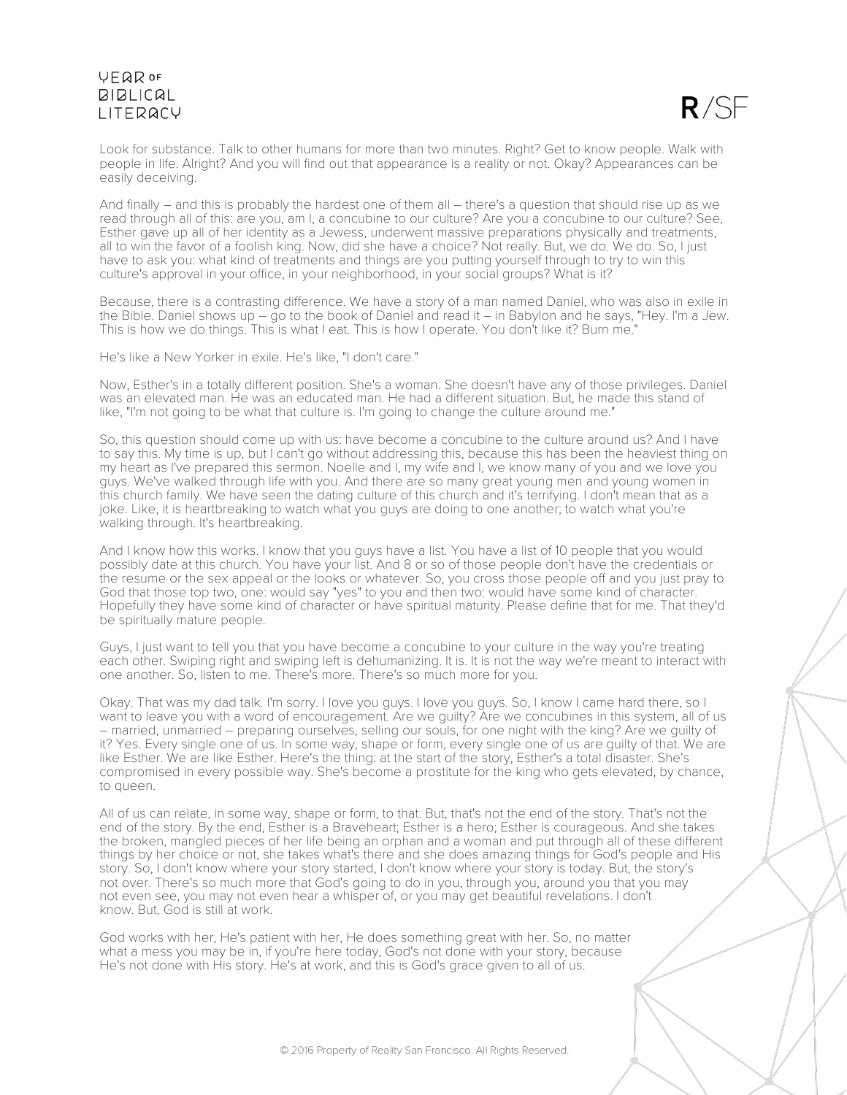

Look for substance. Talk to other humans for more than two minutes. Right? Get to know people. Walk with people in life. Alright? And you will find out that appearance is a reality or not. Okay? Appearances can be easily deceiving.

And finally – and this is probably the hardest one of them all – there's a question that should rise up as we read through all of this: are you, am I, a concubine to our culture? Are you a concubine to our culture? See, Esther gave up all of her identity as a Jewess, underwent massive preparations physically and treatments, all to win the favor of a foolish king. Now, did she have a choice? Not really. But, we do. We do. So, I just have to ask you: what kind of treatments and things are you putting yourself through to try to win this culture's approval in your office, in your neighborhood, in your social groups? What is it?

Because, there is a contrasting difference. We have a story of a man named Daniel, who was also in exile in the Bible. Daniel shows up – go to the book of Daniel and read it – in Babylon and he says, "Hey. I'm a Jew. This is how we do things. This is what I eat. This is how I operate. You don't like it? Burn me."

He's like a New Yorker in exile. He's like, "I don't care."

Now, Esther's in a totally different position. She's a woman. She doesn't have any of those privileges. Daniel was an elevated man. He was an educated man. He had a different situation. But, he made this stand of like, "I'm not going to be what that culture is. I'm going to change the culture around me."

So, this question should come up with us: have become a concubine to the culture around us? And I have to say this. My time is up, but I can't go without addressing this, because this has been the heaviest thing on my heart as I've prepared this sermon. Noelle and I, my wife and I, we know many of you and we love you guys. We've walked through life with you. And there are so many great young men and young women in this church family. We have seen the dating culture of this church and it's terrifying. I don't mean that as a joke. Like, it is heartbreaking to watch what you guys are doing to one another; to watch what you're walking through. It's heartbreaking.

And I know how this works. I know that you guys have a list. You have a list of 10 people that you would possibly date at this church. You have your list. And 8 or so of those people don't have the credentials or the resume or the sex appeal or the looks or whatever. So, you cross those people off and you just pray to God that those top two, one: would say "yes" to you and then two: would have some kind of character. Hopefully they have some kind of character or have spiritual maturity. Please define that for me. That they'd be spiritually mature people.

Guys, I just want to tell you that you have become a concubine to your culture in the way you're treating each other. Swiping right and swiping left is dehumanizing. It is. It is not the way we're meant to interact with one another. So, listen to me. There's more. There's so much more for you.

Okay. That was my dad talk. I'm sorry. I love you guys. I love you guys. So, I know I came hard there, so I want to leave you with a word of encouragement. Are we guilty? Are we concubines in this system, all of us – married, unmarried – preparing ourselves, selling our souls, for one night with the king? Are we guilty of it? Yes. Every single one of us. In some way, shape or form, every single one of us are guilty of that. We are like Esther. We are like Esther. Here's the thing: at the start of the story, Esther's a total disaster. She's compromised in every possible way. She's become a prostitute for the king who gets elevated, by chance, to queen.

All of us can relate, in some way, shape or form, to that. But, that's not the end of the story. That's not the end of the story. By the end, Esther is a Braveheart; Esther is a hero; Esther is courageous. And she takes the broken, mangled pieces of her life being an orphan and a woman and put through all of these different things by her choice or not, she takes what's there and she does amazing things for God's people and His story. So, I don't know where your story started, I don't know where your story is today. But, the story's not over. There's so much more that God's going to do in you, through you, around you that you may not even see, you may not even hear a whisper of, or you may get beautiful revelations. I don't know. But, God is still at work.

God works with her, He's patient with her, He does something great with her. So, no matter what a mess you may be in, if you're here today, God's not done with your story, because He's not done with His story. He's at work, and this is God's grace given to all of us.